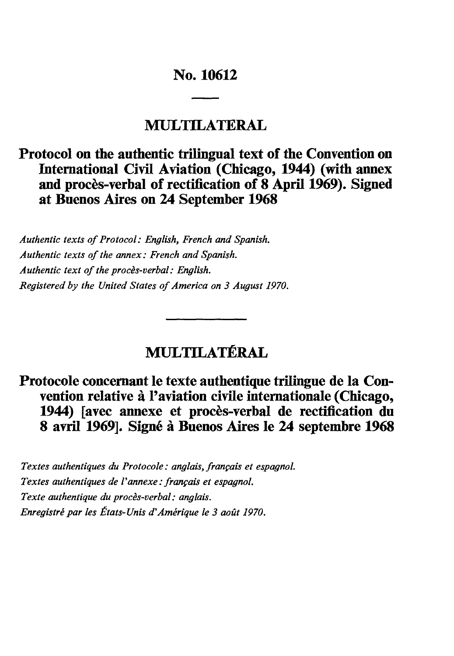# **No. 10612**

# **MULTILATERAL**

# **Protocol on the authentic trilingual text of the Convention on International Civil Aviation (Chicago, 1944) (with annex and procès-verbal of rectification of 8 April 1969). Signed at Buenos Aires on 24 September 1968**

*Authentic texts of Protocol: English, French and Spanish. Authentic texts of the annex: French and Spanish. Authentic text of the procès-verbal : English. Registered by the United States of America on 3 August 1970.*

# **MULTILATÉRAL**

# Protocole concernant le texte authentique trilingue de la Con**vention relative à l'aviation civile internationale (Chicago, 1944) [avec annexe et procès-verbal de rectification du 8 avril 1969]. Signé à Buenos Aires le 24 septembre 1968**

*Textes authentiques du Protocole : anglais, français et espagnol. Textes authentiques de Vannexe: français et espagnol. Texte authentique du procès-verbal : anglais. Enregistré par les États-Unis d'Amérique le 3 août 1970.*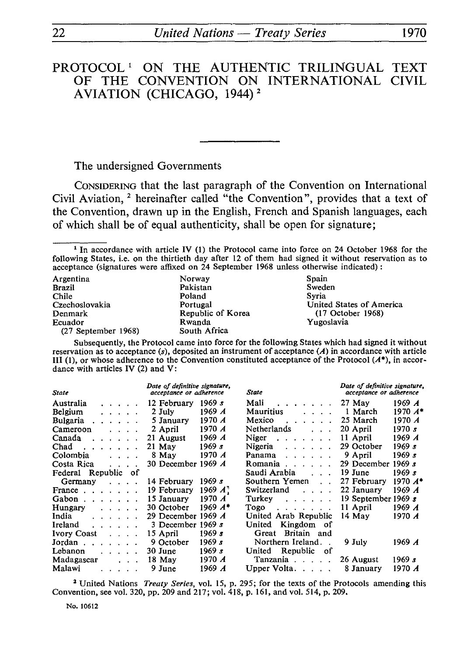## PROTOCOL<sup>1</sup> ON THE AUTHENTIC TRILINGUAL TEXT<br>OF THE CONVENTION ON INTERNATIONAL CIVIL OF THE CONVENTION ON INTERNATIONAL AVIATION (CHICAGO, 1944) <sup>2</sup>

The undersigned Governments

CONSIDERING that the last paragraph of the Convention on International Civil Aviation, 2 hereinafter called "the Convention", provides that a text of the Convention, drawn up in the English, French and Spanish languages, each of which shall be of equal authenticity, shall be open for signature;

<sup>1</sup> In accordance with article IV (1) the Protocol came into force on 24 October 1968 for the following States, i.e. on the thirtieth day after 12 of them had signed it without reservation as to acceptance (signatures were affixed on 24 September 1968 unless otherwise indicated) :

| Argentina             | Norway            | Spain                    |
|-----------------------|-------------------|--------------------------|
| <b>Brazil</b>         | Pakistan          | Sweden                   |
| Chile                 | Poland            | Svria                    |
| Czechoslovakia        | Portugal          | United States of America |
| Denmark               | Republic of Korea | $(17$ October 1968)      |
| Ecuador               | Rwanda            | Yugoslavia               |
| $(27$ September 1968) | South Africa      |                          |

Subsequently, the Protocol came into force for the following States which had signed it without reservation as to acceptance (s), deposited an instrument of acceptance *(A)* in accordance with article III (1), or whose adherence to the Convention constituted acceptance of the Protocol *(A\*),* in accor dance with articles IV (2) and V:

| Date of definitive signature,<br>acceptance or adherence<br><b>State</b>                                                                                                                                                                     |                                   | State            | Date of definitive signature,<br>acceptance or adherence                                                                                                                                                                                                                                                                                                                                                                                                                                                                 |                       |           |
|----------------------------------------------------------------------------------------------------------------------------------------------------------------------------------------------------------------------------------------------|-----------------------------------|------------------|--------------------------------------------------------------------------------------------------------------------------------------------------------------------------------------------------------------------------------------------------------------------------------------------------------------------------------------------------------------------------------------------------------------------------------------------------------------------------------------------------------------------------|-----------------------|-----------|
| Australia                                                                                                                                                                                                                                    | $\ldots$ 12 February              | 1969 s           | Mali<br>$\mathbf{1} \times \mathbf{1} \times \mathbf{1} \times \mathbf{1} \times \mathbf{1} \times \mathbf{1} \times \mathbf{1} \times \mathbf{1} \times \mathbf{1} \times \mathbf{1} \times \mathbf{1} \times \mathbf{1} \times \mathbf{1} \times \mathbf{1} \times \mathbf{1} \times \mathbf{1} \times \mathbf{1} \times \mathbf{1} \times \mathbf{1} \times \mathbf{1} \times \mathbf{1} \times \mathbf{1} \times \mathbf{1} \times \mathbf{1} \times \mathbf{1} \times \mathbf{1} \times \mathbf{1} \times \mathbf{$ | $27$ May              | 1969 A    |
| Belgium<br>.                                                                                                                                                                                                                                 | 2 July                            | 1969 A           | <b>Mauritius</b><br>$\cdots$                                                                                                                                                                                                                                                                                                                                                                                                                                                                                             | 1 March               | $1970 A*$ |
| Bulgaria<br><b><i>Contractor Committee Committee States</i></b>                                                                                                                                                                              | 5 January                         | 1970 A           | Mexico<br>$\mathbf{r}$ . The set of the set of the set of the set of the set of the set of the set of the set of the set of the set of the set of the set of the set of the set of the set of the set of the set of the set of the set of t                                                                                                                                                                                                                                                                              | 25 March              | 1970 A    |
| Cameroon<br>$\sim$ $\sim$ $\sim$ $\sim$ $\sim$                                                                                                                                                                                               | 2 April                           | 1970 A           | Netherlands                                                                                                                                                                                                                                                                                                                                                                                                                                                                                                              | 20 April              | 1970 s    |
| Canada<br>$\mathbf{r}$ . The set of the set of $\mathbf{r}$                                                                                                                                                                                  | 21 August                         | 1969 $A$         | Niger $\ldots$                                                                                                                                                                                                                                                                                                                                                                                                                                                                                                           | 11 April              | 1969 A    |
| Chad<br>$\label{eq:reduced} \begin{array}{lllllllllllllllllll} \bullet & \bullet & \bullet & \bullet & \bullet & \bullet & \bullet \end{array}$                                                                                              | 21 May                            | 1969 s           | Nigeria<br>$\label{eq:2.1} \begin{array}{cccccccccccccc} \bullet & \bullet & \bullet & \bullet & \bullet & \bullet & \bullet & \bullet & \bullet \end{array}$                                                                                                                                                                                                                                                                                                                                                            | 29 October            | 1969 s    |
| Colombia<br>$\mathbf{r}$ and $\mathbf{r}$                                                                                                                                                                                                    | 8 May                             | 1970 A           | Panama<br>$\mathbf{r}$ . The set of the set of the set of the set of the set of the set of the set of the set of the set of the set of the set of the set of the set of the set of the set of the set of the set of the set of the set of t                                                                                                                                                                                                                                                                              | 9 April               | 1969 s    |
| Costa Rica<br>$\cdots$                                                                                                                                                                                                                       | 30 December 1969 $\boldsymbol{A}$ |                  | Romania $\ldots$                                                                                                                                                                                                                                                                                                                                                                                                                                                                                                         | 29 December           | 1969 s    |
| Federal Republic of                                                                                                                                                                                                                          |                                   |                  | Saudi Arabia (Contained)                                                                                                                                                                                                                                                                                                                                                                                                                                                                                                 | 19 June               | 1969s     |
| Germany $\ldots$                                                                                                                                                                                                                             | 14 February                       | 1969 s           | Southern Yemen                                                                                                                                                                                                                                                                                                                                                                                                                                                                                                           | 27 February           | $1970 A*$ |
| France $\ldots$ $\ldots$                                                                                                                                                                                                                     | 19 February                       | 1969 $\vec{A}$ : | Switzerland<br>$\cdots$                                                                                                                                                                                                                                                                                                                                                                                                                                                                                                  | 22 January            | 1969 $A$  |
| Gabon $\ldots$ $\ldots$                                                                                                                                                                                                                      | 15 January                        | 1970 $\bm{A}$    | Turkey<br>and the contract of the con-                                                                                                                                                                                                                                                                                                                                                                                                                                                                                   | 19 September 1969 $s$ |           |
| Hungary<br>$\mathbf{1}$ . The set of the set of the set of the set of the set of the set of the set of the set of the set of the set of the set of the set of the set of the set of the set of the set of the set of the set of the set of t | 30 October                        | 1969 $A^*$       | $Togo$ , $\ldots$ , $\ldots$                                                                                                                                                                                                                                                                                                                                                                                                                                                                                             | 11 April              | 1969 A    |
| India<br>$\mathbf{r}$ , $\mathbf{r}$ , $\mathbf{r}$ , $\mathbf{r}$ , $\mathbf{r}$                                                                                                                                                            | 29 December 1969 $\boldsymbol{A}$ |                  | United Arab Republic                                                                                                                                                                                                                                                                                                                                                                                                                                                                                                     | 14 May                | 1970 A    |
| Ireland<br>$\mathbf{r}$ . The set of the set of the set of the set of the set of the set of the set of the set of the set of the set of the set of the set of the set of the set of the set of the set of the set of the set of the set of t | 3 December 1969 $s$               |                  | United Kingdom of                                                                                                                                                                                                                                                                                                                                                                                                                                                                                                        |                       |           |
| Ivory Coast                                                                                                                                                                                                                                  | 15 April                          | 1969 $s$         | Great Britain and                                                                                                                                                                                                                                                                                                                                                                                                                                                                                                        |                       |           |
| Jordan $\cdots$                                                                                                                                                                                                                              | 9 October                         | 1969 s           | Northern Ireland                                                                                                                                                                                                                                                                                                                                                                                                                                                                                                         | 9 July                | 1969 A    |
| Lebanon<br>$\cdots$ $\cdots$                                                                                                                                                                                                                 | 30 June                           | 1969 s           | United Republic of                                                                                                                                                                                                                                                                                                                                                                                                                                                                                                       |                       |           |
| Madagascar<br><b><i>Contractor</i></b>                                                                                                                                                                                                       | 18 May                            | 1970 A           | Tanzania                                                                                                                                                                                                                                                                                                                                                                                                                                                                                                                 | 26 August             | 1969 s    |
| Malawi                                                                                                                                                                                                                                       | 9 June                            | 1969 A           | Upper Volta. $\ldots$ .                                                                                                                                                                                                                                                                                                                                                                                                                                                                                                  | 8 January             | 1970 A    |

*<sup>2</sup>*United Nations *Treaty Series,* vol. 15, p. 295; for the texts of the Protocols amending this Convention, see vol. 320, pp. 209 and 217; vol. 418, p. 161, and vol. 514, p. 209.

No. 10612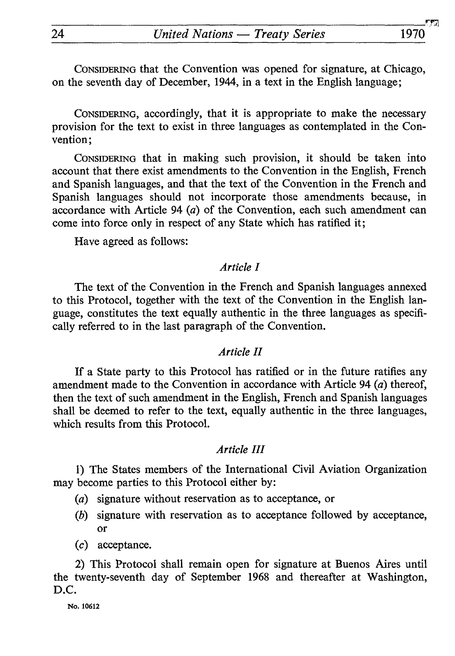CONSIDERING that the Convention was opened for signature, at Chicago, on the seventh day of December, 1944, in a text in the English language;

CONSIDERING, accordingly, that it is appropriate to make the necessary provision for the text to exist in three languages as contemplated in the Con vention;

CONSIDERING that in making such provision, it should be taken into account that there exist amendments to the Convention in the English, French and Spanish languages, and that the text of the Convention in the French and Spanish languages should not incorporate those amendments because, in accordance with Article 94 *(a)* of the Convention, each such amendment can come into force only in respect of any State which has ratified it;

Have agreed as follows:

#### *Article I*

The text of the Convention in the French and Spanish languages annexed to this Protocol, together with the text of the Convention in the English lan guage, constitutes the text equally authentic in the three languages as specifi cally referred to in the last paragraph of the Convention.

#### *Article II*

If a State party to this Protocol has ratified or in the future ratifies any amendment made to the Convention in accordance with Article 94 *(a)* thereof, then the text of such amendment in the English, French and Spanish languages shall be deemed to refer to the text, equally authentic in the three languages, which results from this Protocol.

#### *Article III*

1) The States members of the International Civil Aviation Organization may become parties to this Protocol either by:

- (a) signature without reservation as to acceptance, or
- *(b)* signature with reservation as to acceptance followed by acceptance, or
- (c) acceptance.

2) This Protocol shall remain open for signature at Buenos Aires until the twenty-seventh day of September 1968 and thereafter at Washington, D.C.

**No. 10612**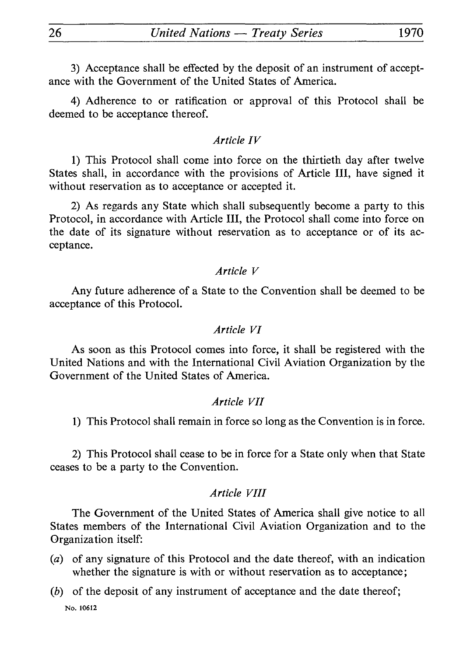3) Acceptance shall be effected by the deposit of an instrument of accept ance with the Government of the United States of America.

4) Adherence to or ratification or approval of this Protocol shall be deemed to be acceptance thereof.

#### *Article IV*

1) This Protocol shall come into force on the thirtieth day after twelve States shall, in accordance with the provisions of Article III, have signed it without reservation as to acceptance or accepted it.

2) As regards any State which shall subsequently become a party to this Protocol, in accordance with Article III, the Protocol shall come into force on the date of its signature without reservation as to acceptance or of its ac ceptance.

#### *Article V*

Any future adherence of a State to the Convention shall be deemed to be acceptance of this Protocol.

#### *Article VI*

As soon as this Protocol comes into force, it shall be registered with the United Nations and with the International Civil Aviation Organization by the Government of the United States of America.

#### *Article VII*

1) This Protocol shall remain in force so long as the Convention is in force.

2) This Protocol shall cease to be in force for a State only when that State ceases to be a party to the Convention.

#### *Article VIII*

The Government of the United States of America shall give notice to all States members of the International Civil Aviation Organization and to the Organization itself:

- *(a)* of any signature of this Protocol and the date thereof, with an indication whether the signature is with or without reservation as to acceptance;
- *(b)* of the deposit of any instrument of acceptance and the date thereof; No. 10612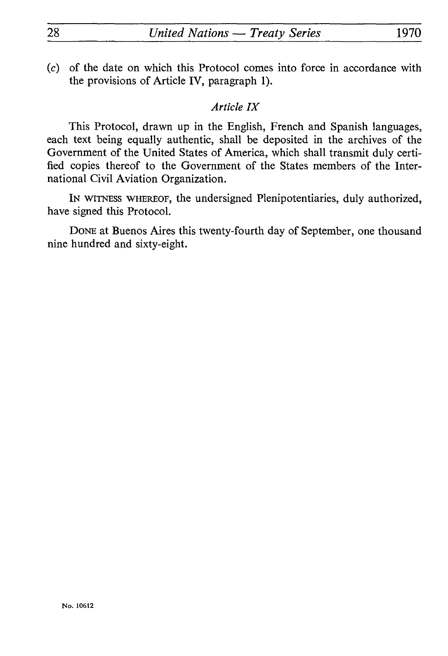(c) of the date on which this Protocol comes into force in accordance with the provisions of Article IV, paragraph 1).

## *Article IX*

This Protocol, drawn up in the English, French and Spanish languages, each text being equally authentic, shall be deposited in the archives of the Government of the United States of America, which shall transmit duly certi fied copies thereof to the Government of the States members of the Inter national Civil Aviation Organization.

IN WITNESS WHEREOF, the undersigned Plenipotentiaries, duly authorized, have signed this Protocol.

DONE at Buenos Aires this twenty-fourth day of September, one thousand nine hundred and sixty-eight.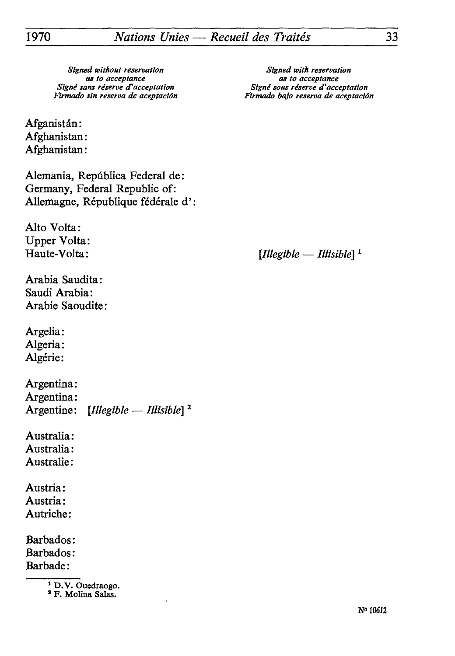Afganistân: Afghanistan: Afghanistan:

Alemania, Repûblica Federal de: Germany, Federal Republic of: Allemagne, République fédérale d':

Alto Volta: Upper Volta:

Arabia Saudita: Saudi Arabia: Arabie Saoudite:

Argelia: Algeria: Algérie:

Argentina: Argentina: Argentine: *[Illegible — Illisible] 2*

Australia: Australia: Australie:

Austria: Austria: Autriche:

Barbados: Barbados : Barbade:

**a F. Molina Salas.**

*as to acceptance as to acceptance Firmado sin réserva de aceptaciôn Firmado bajo réserva de aceptaciân*

Haute-Volta: *<i>Illegible — Illisible*<sup>1</sup>

**<sup>1</sup> D.V. Ouedraogo.**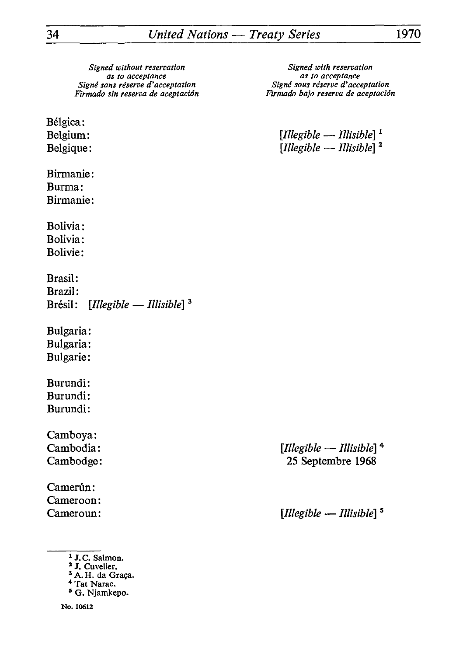Bélgica:

Birmanie: Burma: Birmanie:

Bolivia: Bolivia: Bolivie :

Brasil: Brazil: Brésil : *[Illegible — Illisible} <sup>3</sup>*

Bulgaria: Bulgaria: Bulgarie:

Burundi: Burundi: Burundi:

Camboya:

Camerún: Cameroon:

- 1 J.C. Salmon.
- *1 J.* Cuvelier.
- <sup>3</sup> A.H. da Graça.
- 4 Tat Narac.
- 5 G. Njamkepo.

**No. 10612**

*as to acceptance*<br> *as to acceptance*<br> *as the acceptation*<br> *as to acceptation*<br> *as to acceptation Firmado sin réserva de aceptaciôn Firmado bajo réserva de aceptaciôn*

Belgium: *Illegible — Illisible* 1 Belgique: *Illegible — Illisible* <sup>2</sup>

Cambodia: *[Illegible — Illisible]* 4 Cambodge: 25 Septembre 1968

Cameroun: *[Illegible — Illisible] <sup>s</sup>*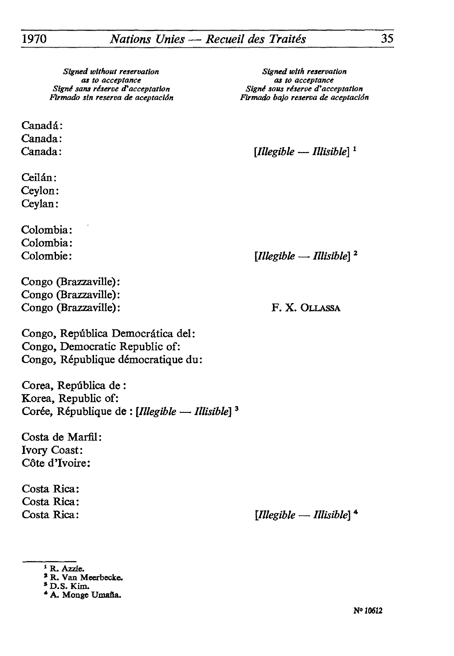Canadá: Canada:

Ceilân: Ceylon: Ceylan:

Colombia: Colombia:

Congo (Brazzaville): Congo (Brazzaville): Congo (Brazzaville): F. X. OLLASSA

*as to acceptance*<br> *as to acceptance*<br> *ans reserve d'acceptation*<br> *Signe sous reserve d'acceptation Flrmado sin réserva de aceptaciôn firmado bajo réserva de aceptaciàn*

Canada: *[Illegible — Illisible] l*

Colombie : *[Illegible — Illisible} 2*

Congo, Repûblica Democràtica del: Congo, Democratic Republic of: Congo, République démocratique du:

Corea, Repûblica de : Korea, Republic of: Corée, République de : *[Illegible — Illisible] 3*

Costa de Marfil: Ivory Coast: Côte d'Ivoire:

Costa Rica: Costa Rica:

Costa Rica : *[Illegible* — *Illisible] \**

<sup>&</sup>lt;sup>1</sup> R. Azzie.

<sup>»</sup> R. Van Meerbecke.

**<sup>\*</sup>D.S. Kim.**

<sup>\*</sup> A. Monge Umafia.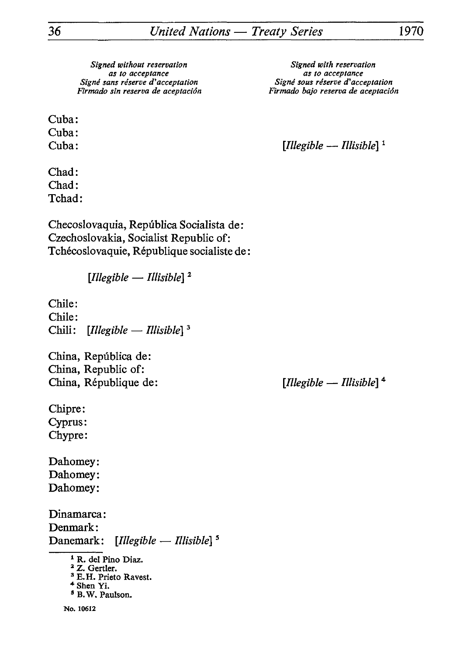Cuba: Cuba:

Chad: Chad: Tchad:

Checoslovaquia, República Socialista de: Czechoslovakia, Socialist Republic of: Tchécoslovaquie, République socialiste de :

*[Illegible* — *Illisible]* <sup>2</sup>

Chile: Chile: Chili : *[Illegible* — *Illisible} 3*

China, Repûblica de : China, Republic of: China, République de: *[Illegible — Illisible]* 4

Chipre: Cyprus: Chypre:

Dahomey: Dahomey: Dahomey:

Dinamarca: Denmark: Danemark: *[Illegible — Illisible] <sup>5</sup>*

- 1 R. del Pino Diaz. *2 Z.* Gertler.
- <sup>3</sup> E.H. Prieto Ravest.
- \* Shen Yi.
- 5 B.W. Paulson.

as to acceptance<br> *as to acceptance*<br> *Signé sous réserve d'acceptation*<br> *Signé sous réserve d'acceptation Firtnado sin réserva de aceptaciôn Firmado bajo réserva de aceptaciôn*

Cuba : *[Illegible — Illisible}* <sup>1</sup>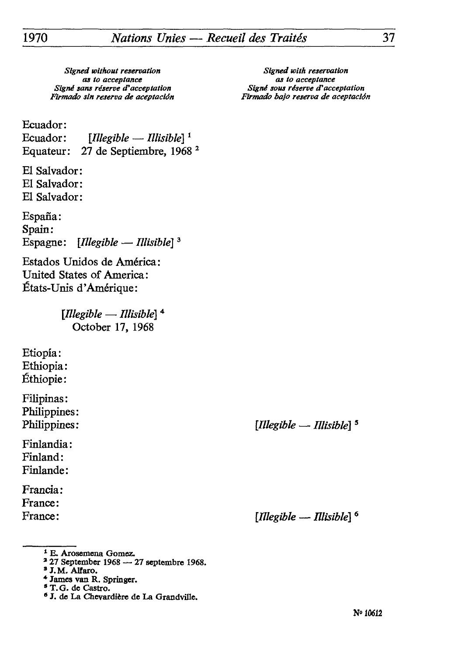*Signed without reservation Signed with reservation Firmado sin réserva de aceptaciôn Firmado bajo réserva de aceptaciân*

*as to acceptance*<br>*ans réserve d'acceptation*<br>*Signé sous réserve d'acceptation Signé sans réserve d'acceptation Signé sous réserve d'acceptation*

Ecuador:<br>Ecuador:

 $[Illegible-Illisible]$ <sup>1</sup> Equateur: 27 de Septiembre, 1968 2

El Salvador: El Salvador: El Salvador:

España: Spain: Espagne: *[Illegible — Illisible}* <sup>3</sup>

Estados Unidos de America: United States of America: États-Unis d'Amérique:

> *[Illegible* — *Illisible}* 4 October 17, 1968

Etiopïa: Ethiopia: Ethiopie:

Filipinas: Philippines: Philippines: *[Illegible — Illisible] <sup>s</sup>*

Finlandia: Finland: Finlande:

Francia: France:

France : *[Illegible — Illisible} 6*

- 3 27 September 1968 27 septembre 1968.
- <sup>3</sup> J.M. Alfaro.

<sup>\*</sup> E. Arosemena Gomez.

<sup>\*</sup> James van R. Springer.

<sup>&</sup>lt;sup>5</sup> T.G. de Castro.

<sup>\*</sup> J. de La Chevardière de La Grandville.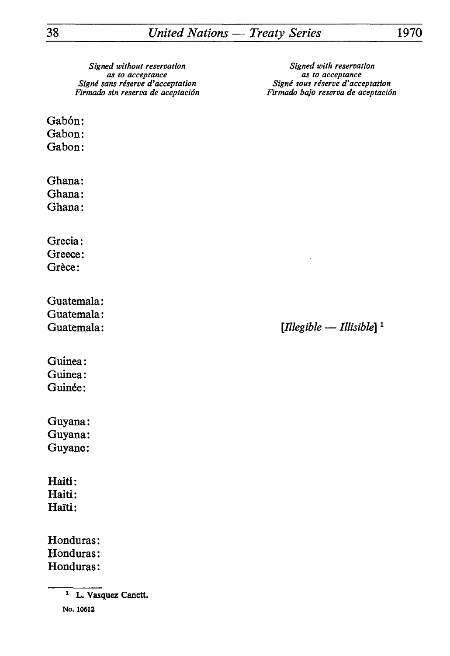Gabón: Gabon:

Gabon:

Ghana: Ghana:

Ghana:

Grecia: Greece: Grèce:

Guatemala: Guatemala:

Guatemala: *<i>Illegible — Illisible*  $\frac{1}{2}$ 

Guinea: Guinea: Guinée:

Guyana: Guyana: Guyane:

Haiti: Haiti: Haïti:

Honduras: Honduras: Honduras:

*Signed with reservation as to acceptance Signé sous réserve d'acceptation Firmado bajo réserva de aceptaciôn*

**<sup>1</sup> L. Vasquez** Canett.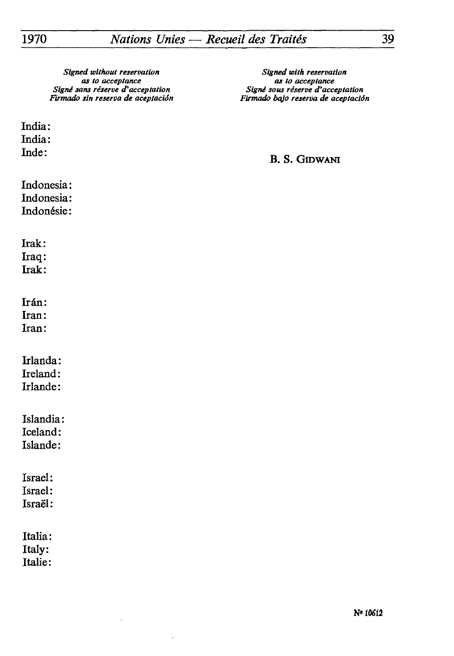India: India:

Inde:

*as to acceptance as to acceptance fîrmado sin réserva de aceptacion Firmado bajo réserva de aceptacion*

## B. S. GrowANi

Indonesia: Indonesia: Indonésie:

Irak:

Iraq:

Irak:

Irán:

Iran:

Iran:

Irlanda:

Ireland:

Irlande:

Islandia: Iceland:

Islande:

Israël:

Israël:

Israël:

Italia: Italy:

Italie: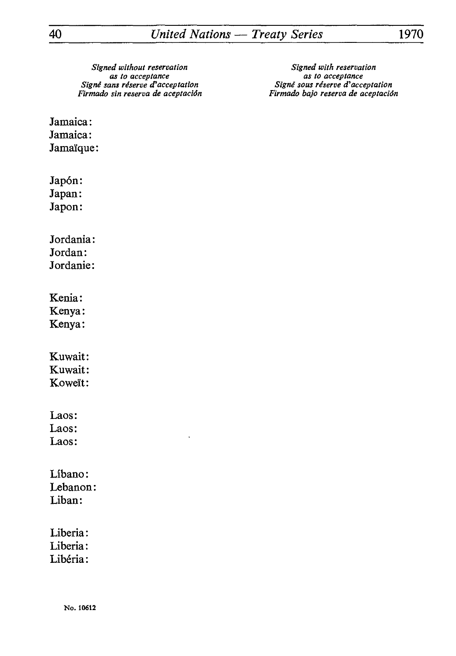*Signed without reservation*<br>as to acceptance<br>as to acceptance<br>as to acceptance *Signé sans réserve d'acceptation Signé sous réserve d'acceptation*

*as to acceptance*<br>*as to acceptance are as to acceptation*<br>*Signé sous réserve d'acceptation Firmado sin réserva de aceptaciôn Firmado bajo réserva de aceptaciân*

Jamaica: Jamaica: Jamaïque:

Japón: Japan: Japon: Jordania: Jordan: Jordanie: Kenia: Kenya: Kenya: Kuwait: Kuwait: Koweït: Laos: Laos: Laos: Libano: Lebanon: Liban: Liberia: Liberia: Libéria: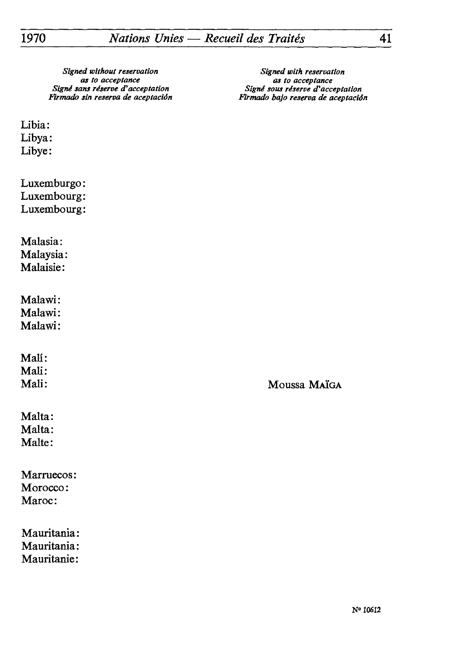*Signé sans réserve d'acceptation Signé sous réserve d'acceptation*

*Signed without reservation*<br>as to acceptance<br>as to acceptance<br>as to acceptance *as to acceptance*<br>*Signé sous réserve d'acceptation Firmado sin réserva de aceptaciôn Ftrmado bajo réserva de aceptaciân*

Libia: Libya: Libye:

Luxemburgo: Luxembourg: Luxembourg:

Malasia: Malaysia: Malaisie:

Malawi: Malawi: Malawi:

Mali: Mali:<br>Mali:

Moussa MaïGA

Malta: Malta: Malte:

Marruecos: Morocco: Maroc:

Mauritania: Mauritania: Mauritanie: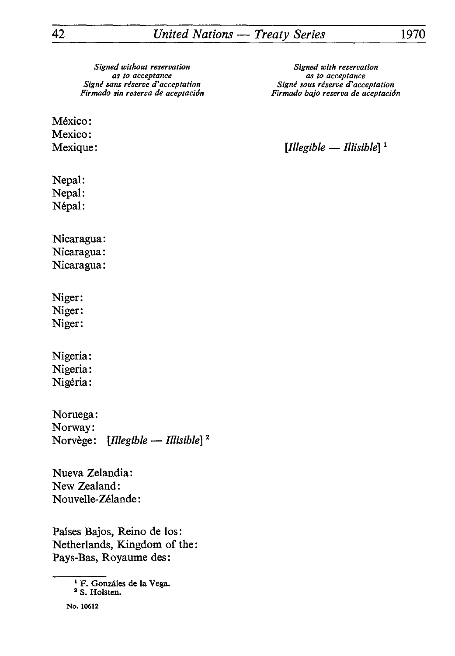México: Mexico:

Nepal: Nepal:

Népal:

Nicaragua: Nicaragua: Nicaragua:

Niger: Niger: Niger:

Nigeria: Nigeria: Nigéria:

Noruega: Norway: Norvège: *[Illegible* — *Illisible] '*

Nueva Zelandia: New Zealand: Nouvelle-Zélande :

Paises Bajos, Reino de los: Netherlands, Kingdom of the: Pays-Bas, Royaume des:

> 1 F. Gonzâles de la Vega. *2* S. Holsten.

Mexique: *[Illegible — Illisible] l*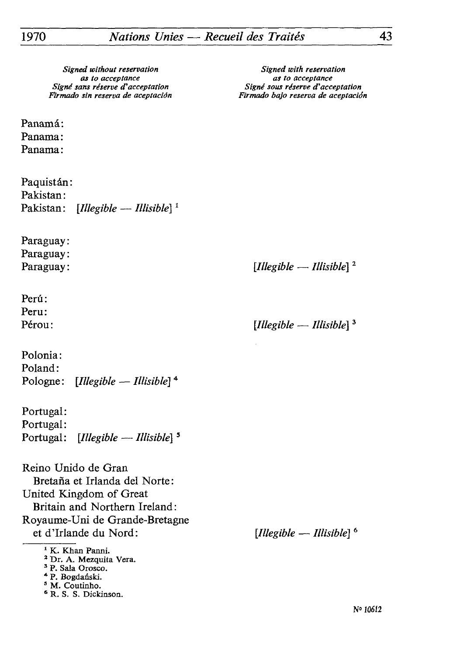Panamá: Panama: Panama :

Paquistân : Pakistan : Pakistan: *[Illegible — Illisible} l*

Paraguay: Paraguay:

Perú: Peru:

Polonia : Poland: Pologne : *[Illegible — Illisible}* <sup>4</sup>

Portugal: Portugal : Portugal: *[Illegible — Illisible}*

Reino Unido de Gran Bretaña et Irlanda del Norte: United Kingdom of Great Britain and Northern Ireland : Royaume-Uni de Grande-Bretagne et d'Irlande du Nord:

<sup>1</sup> K. Khan Panni.

2 Dr. A. Mezquita Vera.

3 P. Sala Orosco.

\* P. Bogdanski.

3 M. Coutinho.

6 R. S. S. Dickinson.

*Signed with reservation as to acceptance Signé sous réserve d'acceptation Firmado bajo réserva de aceptaciàn*

Paraguay: *[Illegible* — *Illisible}*

Pérou : *[Illegible — Illisible}*

*[Illegible* — *Illisible}*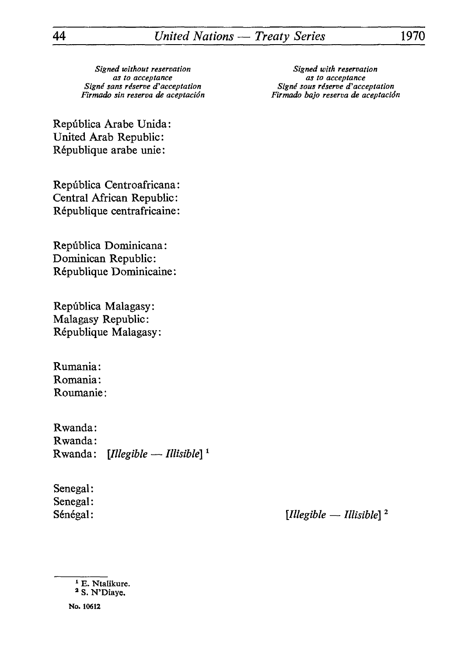*Signed with reservation as to acceptance Signé sous réserve d'acceptation Firmado bajo réserva de aceptaciàn*

Repûblica Arabe Unida : United Arab Republic: République arabe unie:

Repûblica Centroafricana: Central African Republic: République centrafricaine:

Repûblica Dominicana: Dominican Republic: République Dominicaine:

Repûblica Malagasy: Malagasy Republic: République Malagasy:

Rumania : Romania: Roumanie :

Rwanda: Rwanda: Rwanda: *{Illegible — Illisible} <sup>1</sup>*

Senegal: Senegal:

Sénégal: *[Illegible — Illisible]*

**No. 10612**

<sup>&</sup>lt;sup>1</sup> E. Ntalikure. 2 S. N'Diaye.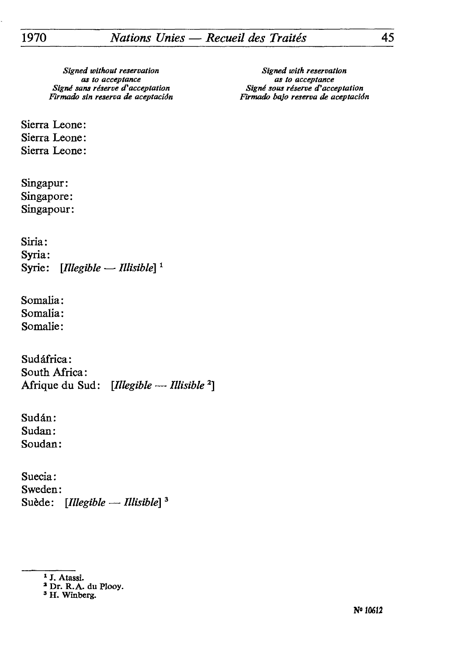*Signed with reservation as to acceptance Signé sous réserve d'acceptation Firmado bajo réserva de aceptaciSn*

Sierra Leone: Sierra Leone: Sierra Leone :

Singapur: Singapore: Singapour:

Siria: Syria: Syrie: *\fllegible* — *Illisible] <sup>1</sup>*

Somalia: Somalia: Somalie:

Sudâfrica: South Africa: Afrique du Sud: *[Illegible — Illisible 2]*

Sudan: Sudan: Soudan:

Suecia : Sweden: Suède : *[Illegible* — *Illisible] <sup>3</sup>*

*<sup>1</sup> J.* Atassi.

<sup>2</sup> Dr. R.A. du Plooy.

<sup>3</sup> H. Winberg.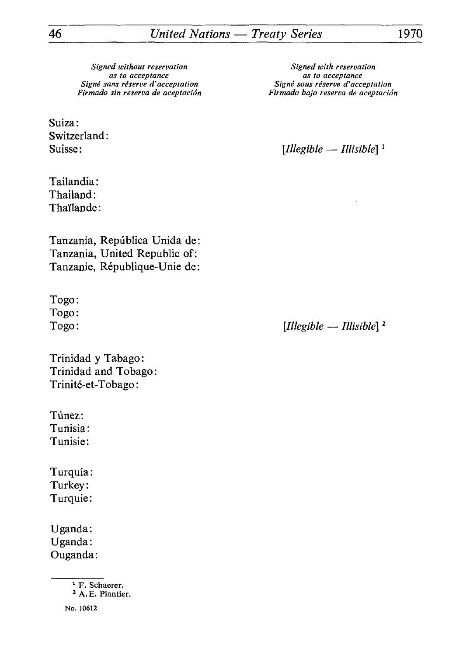Suiza: Switzerland :

Tailandia : Thailand : Thaïlande:

Tanzania, Repûblica Unida de : Tanzania, United Republic of: Tanzanie, République-Unie de:

Togo: Togo:

Trinidad y Tabago : Trinidad and Tobago : Trinité-et-Tobago:

Túnez: Tunisia : Tunisie :

Turquia : Turkey : Turquie:

Uganda: Uganda : Ouganda:

> 1 F. Schaerer. 2 A.E. Plantier.

No. 10612

*Signed with reservation as to acceptance Signé sous réserve d'acceptation Firmado bajo réserva de aceptaciôn*

Suisse: *<i>[Illegible — Illisible*]<sup>1</sup>

Togo: *<i>[Illegible — Illisible***]** <sup>2</sup>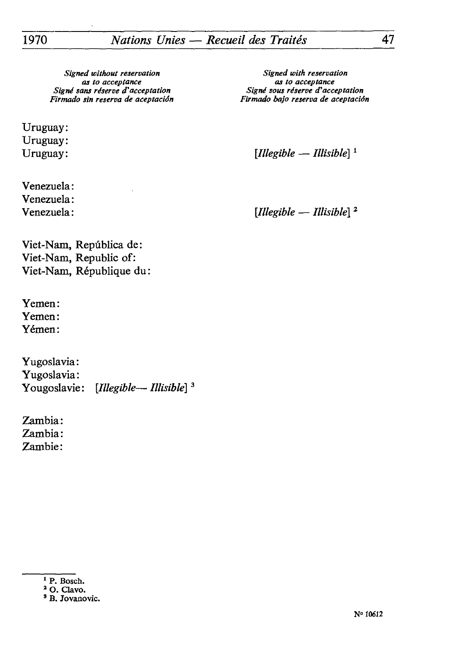*Signed without reservation*<br>as to acceptance<br>as to acceptance<br>as to acceptance *Firmado sin réserva de aceptaciôn Firmado bajo réserva de aceptaciàn*

Uruguay: Uruguay:<br>Uruguay:

Venezuela: Venezuela:<br>Venezuela:

*as to acceptance as to acceptance Signé sans réserve d'acceptation Signé sous réserve d'acceptation*

[*Illegible — Illisible*]<sup>1</sup>

 $[Illegible-Illisible]^2$ 

Viet-Nam, Repûblica de: Viet-Nam, Republic of: Viet-Nam, République du:

Yemen: Yemen : Yémen:

Yugoslavia : Yugoslavia:<br>Yougoslavie: Yougoslavie: *[Illegible— Illisible] <sup>3</sup>*

Zambia : Zambia: Zambie:

**<sup>1</sup> P. Bosch.**

*<sup>2</sup>* **O. Clavo.**

**<sup>3</sup> B. Jovanovic.**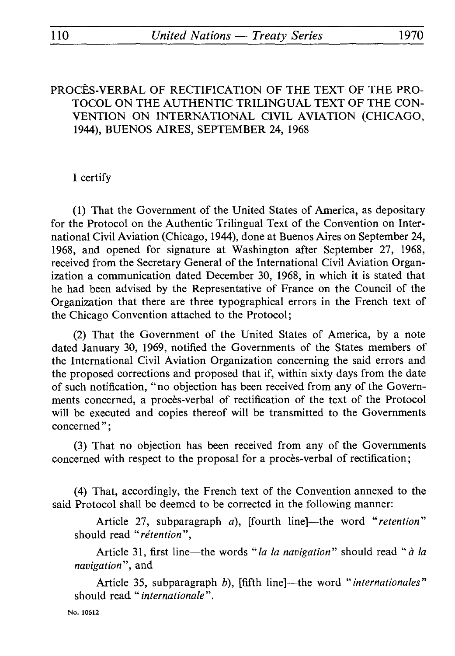## PROCÈS-VERBAL OF RECTIFICATION OF THE TEXT OF THE PRO-TOCOL ON THE AUTHENTIC TRILINGUAL TEXT OF THE CON-**VENTION ON INTERNATIONAL CIVIL AVIATION (CHICAGO, 1944), BUENOS AIRES, SEPTEMBER 24, 1968**

## I certify

(1) That the Government of the United States of America, as depositary for the Protocol on the Authentic Trilingual Text of the Convention on Inter national Civil Aviation (Chicago, 1944), done at Buenos Aires on September 24, 1968, and opened for signature at Washington after September 27, 1968, received from the Secretary General of the International Civil Aviation Organ ization a communication dated December 30, 1968, in which it is stated that he had been advised by the Representative of France on the Council of the Organization that there are three typographical errors in the French text of the Chicago Convention attached to the Protocol;

(2) That the Government of the United States of America, by a note dated January 30, 1969, notified the Governments of the States members of the International Civil Aviation Organization concerning the said errors and the proposed corrections and proposed that if, within sixty days from the date of such notification, "no objection has been received from any of the Govern ments concerned, a procès-verbal of rectification of the text of the Protocol will be executed and copies thereof will be transmitted to the Governments concerned";

(3) That no objection has been received from any of the Governments concerned with respect to the proposal for a procès-verbal of rectification ;

(4) That, accordingly, the French text of the Convention annexed to the said Protocol shall be deemed to be corrected in the following manner:

Article 27, subparagraph *a),* [fourth line]—the word *"retention"*  should read *"rétention",*

Article 31, first line—the words *"la la navigation"* should read "à *la navigation",* and

Article 35, subparagraph *b),* [fifth line]—the word *"internationales"*  should read *"internationale".*